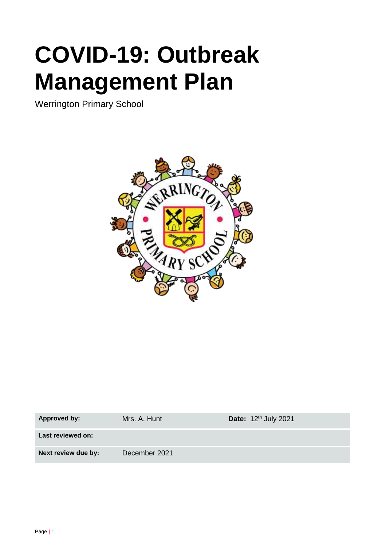# **COVID-19: Outbreak Management Plan**

Werrington Primary School



| <b>Approved by:</b> | Mrs. A. Hunt  | Date: $12th$ July 2021 |
|---------------------|---------------|------------------------|
| Last reviewed on:   |               |                        |
| Next review due by: | December 2021 |                        |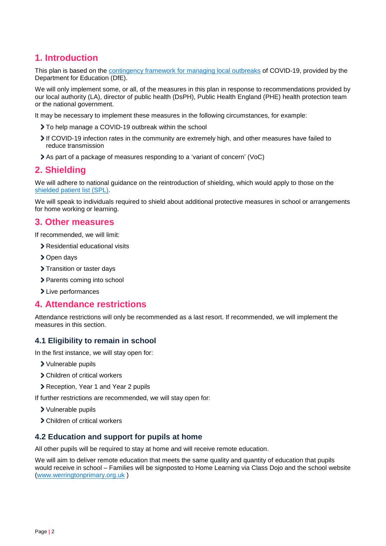## **1. Introduction**

This plan is based on the [contingency framework for managing local outbreaks](https://www.gov.uk/government/publications/coronavirus-covid-19-local-restrictions-in-education-and-childcare-settings) of COVID-19, provided by the Department for Education (DfE).

We will only implement some, or all, of the measures in this plan in response to recommendations provided by our local authority (LA), director of public health (DsPH), Public Health England (PHE) health protection team or the national government.

It may be necessary to implement these measures in the following circumstances, for example:

- To help manage a COVID-19 outbreak within the school
- If COVID-19 infection rates in the community are extremely high, and other measures have failed to reduce transmission
- As part of a package of measures responding to a 'variant of concern' (VoC)

## **2. Shielding**

We will adhere to national guidance on the reintroduction of shielding, which would apply to those on the shielded [patient list \(SPL\).](https://digital.nhs.uk/coronavirus/shielded-patient-list)

We will speak to individuals required to shield about additional protective measures in school or arrangements for home working or learning.

## **3. Other measures**

If recommended, we will limit:

- Residential educational visits
- > Open days
- > Transition or taster days
- > Parents coming into school
- > Live performances

## **4. Attendance restrictions**

Attendance restrictions will only be recommended as a last resort. If recommended, we will implement the measures in this section.

#### **4.1 Eligibility to remain in school**

In the first instance, we will stay open for:

- Vulnerable pupils
- Children of critical workers
- Reception, Year 1 and Year 2 pupils

If further restrictions are recommended, we will stay open for:

- Vulnerable pupils
- Children of critical workers

#### **4.2 Education and support for pupils at home**

All other pupils will be required to stay at home and will receive remote education.

We will aim to deliver remote education that meets the same quality and quantity of education that pupils would receive in school – Families will be signposted to Home Learning via Class Dojo and the school website [\(www.werringtonprimary.org.uk](http://www.werringtonprimary.org.uk/) )